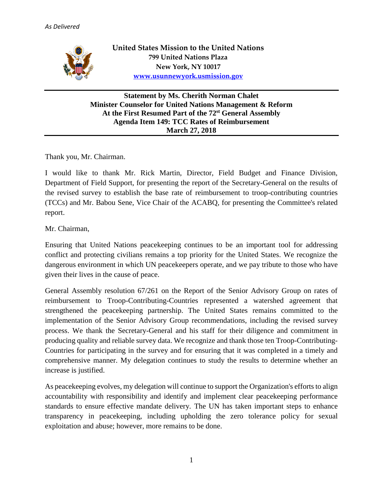

**United States Mission to the United Nations 799 United Nations Plaza New York, NY 10017 [www.usunnewyork.usmission.gov](http://www.usunnewyork.usmission.gov/)**

**Statement by Ms. Cherith Norman Chalet Minister Counselor for United Nations Management & Reform At the First Resumed Part of the 72 st General Assembly Agenda Item 149: TCC Rates of Reimbursement March 27, 2018**

Thank you, Mr. Chairman.

I would like to thank Mr. Rick Martin, Director, Field Budget and Finance Division, Department of Field Support, for presenting the report of the Secretary-General on the results of the revised survey to establish the base rate of reimbursement to troop-contributing countries (TCCs) and Mr. Babou Sene, Vice Chair of the ACABQ, for presenting the Committee's related report.

Mr. Chairman,

Ensuring that United Nations peacekeeping continues to be an important tool for addressing conflict and protecting civilians remains a top priority for the United States. We recognize the dangerous environment in which UN peacekeepers operate, and we pay tribute to those who have given their lives in the cause of peace.

General Assembly resolution 67/261 on the Report of the Senior Advisory Group on rates of reimbursement to Troop-Contributing-Countries represented a watershed agreement that strengthened the peacekeeping partnership. The United States remains committed to the implementation of the Senior Advisory Group recommendations, including the revised survey process. We thank the Secretary-General and his staff for their diligence and commitment in producing quality and reliable survey data. We recognize and thank those ten Troop-Contributing-Countries for participating in the survey and for ensuring that it was completed in a timely and comprehensive manner. My delegation continues to study the results to determine whether an increase is justified.

As peacekeeping evolves, my delegation will continue to support the Organization's efforts to align accountability with responsibility and identify and implement clear peacekeeping performance standards to ensure effective mandate delivery. The UN has taken important steps to enhance transparency in peacekeeping, including upholding the zero tolerance policy for sexual exploitation and abuse; however, more remains to be done.